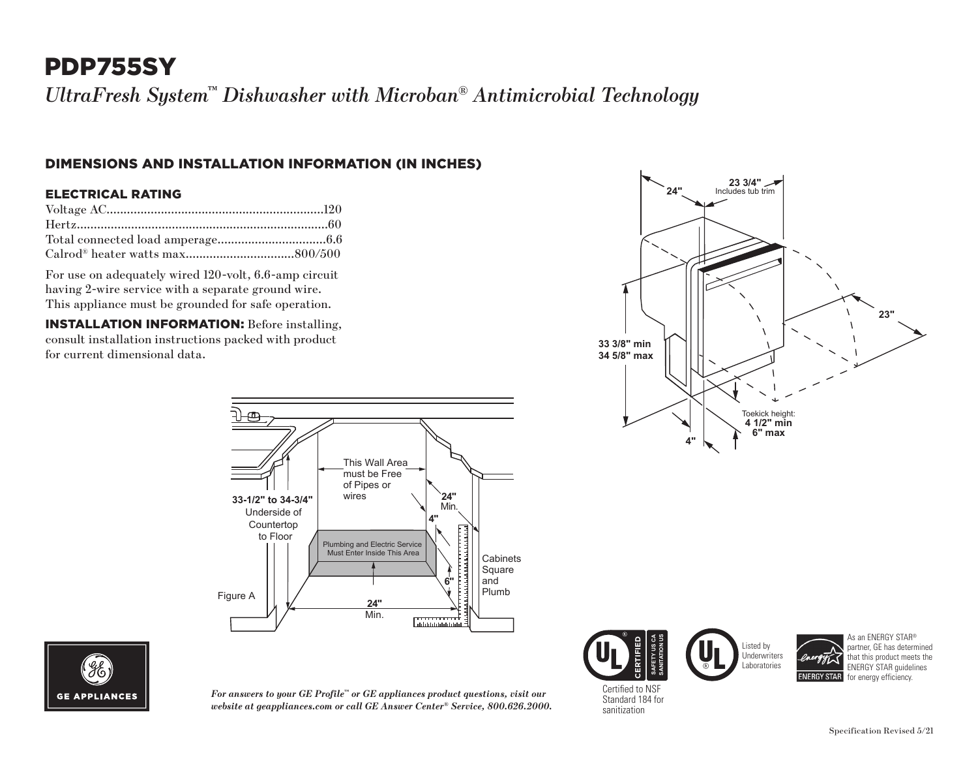# PDP755SY

*UltraFresh System™ Dishwasher with Microban® Antimicrobial Technology*

### DIMENSIONS AND INSTALLATION INFORMATION (IN INCHES)

#### ELECTRICAL RATING

For use on adequately wired 120-volt, 6.6-amp circuit having 2-wire service with a separate ground wire. This appliance must be grounded for safe operation.

INSTALLATION INFORMATION: Before installing, consult installation instructions packed with product for current dimensional data.





*For answers to your GE Profile™ or GE appliances product questions, visit our website at geappliances.com or call GE Answer Center® Service, 800.626.2000.*

**23 3/4" 23" 4" 33 3/8" min 34 5/8" max** Toekick height: **4 1/2" min 6" max 24"**





As an ENERGY STAR<sup>®</sup> partner, GE has determined that this product meets the ENERGY STAR guidelines **ENERGY STAR** for energy efficiency.